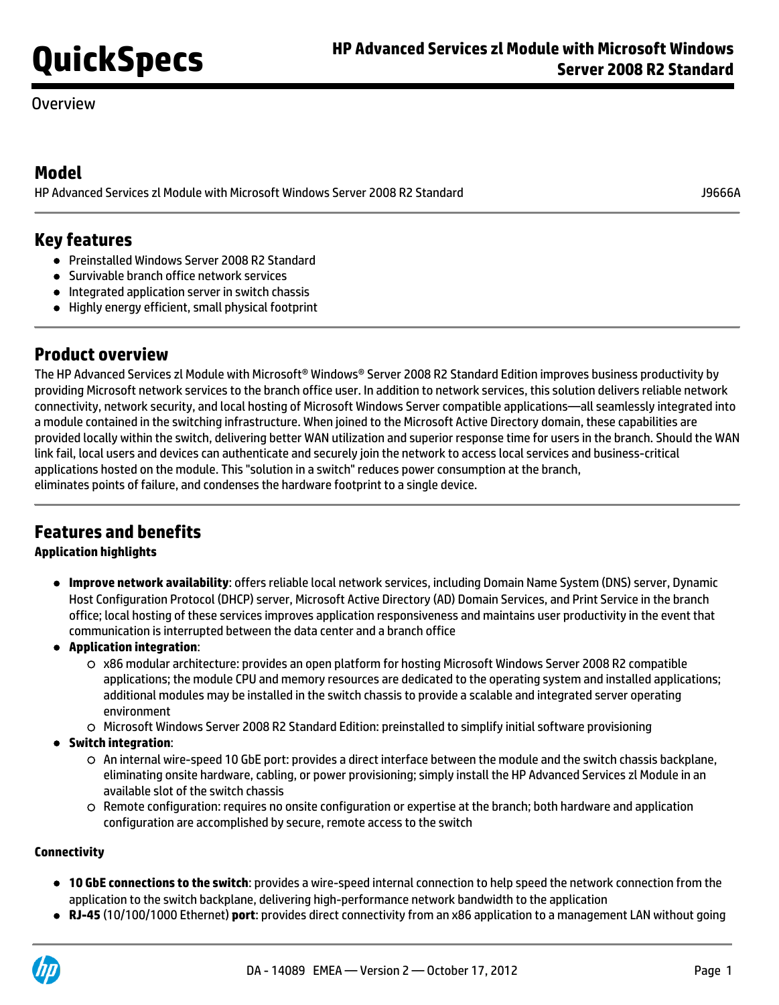## Overview

## **Model**

HP Advanced Services zl Module with Microsoft Windows Server 2008 R2 Standard J9666A

## **Key features**

- Preinstalled Windows Server 2008 R2 Standard
- **Survivable branch office network services**
- Integrated application server in switch chassis
- Highly energy efficient, small physical footprint

# **Product overview**

The HP Advanced Services zl Module with Microsoft® Windows® Server 2008 R2 Standard Edition improves business productivity by providing Microsoft network services to the branch office user. In addition to network services, this solution delivers reliable network connectivity, network security, and local hosting of Microsoft Windows Server compatible applications—all seamlessly integrated into a module contained in the switching infrastructure. When joined to the Microsoft Active Directory domain, these capabilities are provided locally within the switch, delivering better WAN utilization and superior response time for users in the branch. Should the WAN link fail, local users and devices can authenticate and securely join the network to access local services and business-critical applications hosted on the module. This "solution in a switch" reduces power consumption at the branch, eliminates points of failure, and condenses the hardware footprint to a single device.

# **Features and benefits**

### **Application highlights**

- **Improve network availability**: offers reliable local network services, including Domain Name System (DNS) server, Dynamic Host Configuration Protocol (DHCP) server, Microsoft Active Directory (AD) Domain Services, and Print Service in the branch office; local hosting of these services improves application responsiveness and maintains user productivity in the event that communication is interrupted between the data center and a branch office
- **Application integration**:
	- x86 modular architecture: provides an open platform for hosting Microsoft Windows Server 2008 R2 compatible applications; the module CPU and memory resources are dedicated to the operating system and installed applications; additional modules may be installed in the switch chassis to provide a scalable and integrated server operating environment
	- $\circ$  Microsoft Windows Server 2008 R2 Standard Edition: preinstalled to simplify initial software provisioning
- **Switch integration**:
	- An internal wire-speed 10 GbE port: provides a direct interface between the module and the switch chassis backplane, eliminating onsite hardware, cabling, or power provisioning; simply install the HP Advanced Services zl Module in an available slot of the switch chassis
	- $\circ$  Remote configuration: requires no onsite configuration or expertise at the branch; both hardware and application configuration are accomplished by secure, remote access to the switch

#### **Connectivity**

- **10 GbE connections to the switch**: provides a wire-speed internal connection to help speed the network connection from the application to the switch backplane, delivering high-performance network bandwidth to the application
- **RJ-45** (10/100/1000 Ethernet) **port**: provides direct connectivity from an x86 application to a management LAN without going

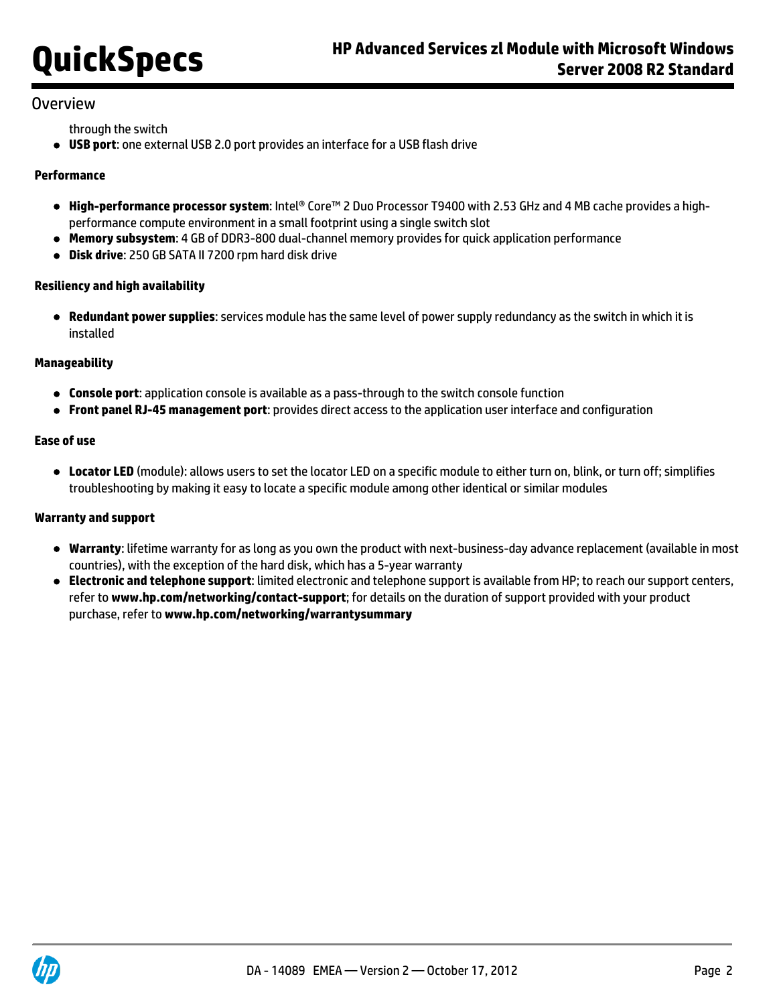### **Overview**

through the switch

**USB port**: one external USB 2.0 port provides an interface for a USB flash drive

#### **Performance**

- **High-performance processor system**: Intel® Core™ 2 Duo Processor T9400 with 2.53 GHz and 4 MB cache provides a highperformance compute environment in a small footprint using a single switch slot
- **Memory subsystem**: 4 GB of DDR3-800 dual-channel memory provides for quick application performance
- **Disk drive**: 250 GB SATA II 7200 rpm hard disk drive

#### **Resiliency and high availability**

**Redundant power supplies**: services module has the same level of power supply redundancy as the switch in which it is installed

#### **Manageability**

- **Console port**: application console is available as a pass-through to the switch console function
- **Front panel RJ-45 management port**: provides direct access to the application user interface and configuration

#### **Ease of use**

**Locator LED** (module): allows users to set the locator LED on a specific module to either turn on, blink, or turn off; simplifies troubleshooting by making it easy to locate a specific module among other identical or similar modules

#### **Warranty and support**

- **Warranty**: lifetime warranty for as long as you own the product with next-business-day advance replacement (available in most countries), with the exception of the hard disk, which has a 5-year warranty
- **Electronic and telephone support**: limited electronic and telephone support is available from HP; to reach our support centers, refer to **[www.hp.com/networking/contact-support](http://www.hp.com/networking/contact-support)**; for details on the duration of support provided with your product purchase, refer to **[www.hp.com/networking/warrantysummary](http://www.hp.com/networking/warrantysummary)**

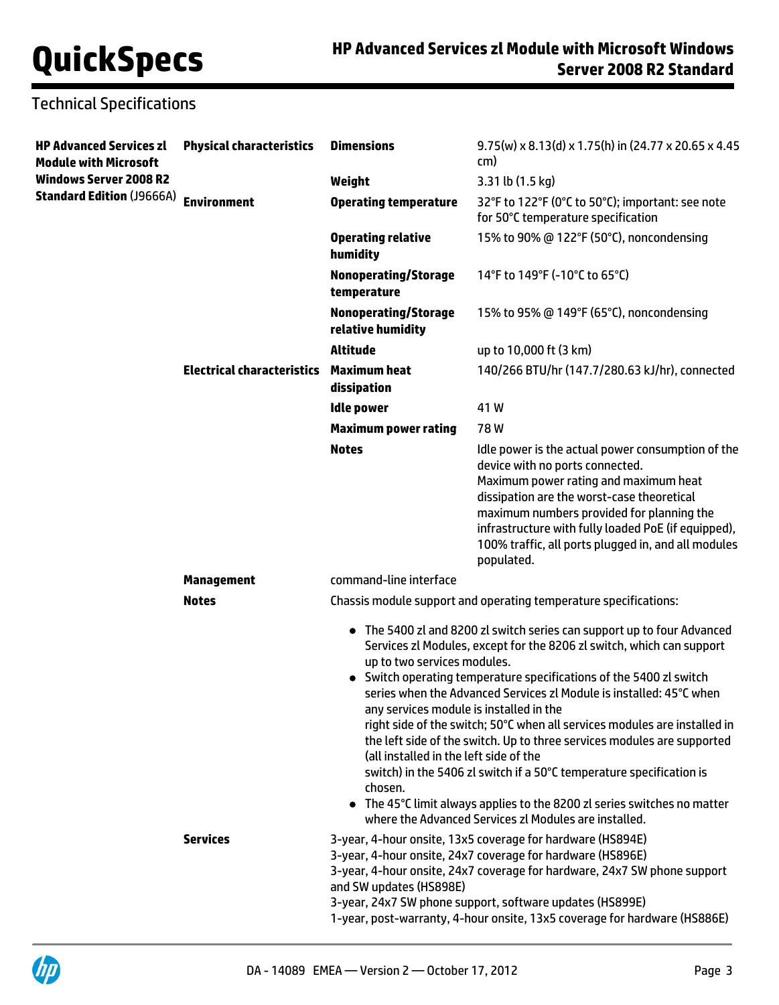# Technical Specifications

| <b>HP Advanced Services zl</b><br><b>Module with Microsoft</b> | <b>Physical characteristics</b>   | <b>Dimensions</b>                                                                                                                                                                                                                                                                                                                                                                                                                                                                                                                                                                                                                                                                                                                                                                                  | $9.75(w) \times 8.13(d) \times 1.75(h)$ in (24.77 x 20.65 x 4.45)<br>cm)                                                                                                                                                                                                                                                                             |
|----------------------------------------------------------------|-----------------------------------|----------------------------------------------------------------------------------------------------------------------------------------------------------------------------------------------------------------------------------------------------------------------------------------------------------------------------------------------------------------------------------------------------------------------------------------------------------------------------------------------------------------------------------------------------------------------------------------------------------------------------------------------------------------------------------------------------------------------------------------------------------------------------------------------------|------------------------------------------------------------------------------------------------------------------------------------------------------------------------------------------------------------------------------------------------------------------------------------------------------------------------------------------------------|
| <b>Windows Server 2008 R2</b>                                  |                                   | Weight                                                                                                                                                                                                                                                                                                                                                                                                                                                                                                                                                                                                                                                                                                                                                                                             | 3.31 lb (1.5 kg)                                                                                                                                                                                                                                                                                                                                     |
| <b>Standard Edition (J9666A)</b>                               | <b>Environment</b>                | <b>Operating temperature</b>                                                                                                                                                                                                                                                                                                                                                                                                                                                                                                                                                                                                                                                                                                                                                                       | 32°F to 122°F (0°C to 50°C); important: see note<br>for 50°C temperature specification                                                                                                                                                                                                                                                               |
|                                                                |                                   | <b>Operating relative</b><br>humidity                                                                                                                                                                                                                                                                                                                                                                                                                                                                                                                                                                                                                                                                                                                                                              | 15% to 90% @ 122°F (50°C), noncondensing                                                                                                                                                                                                                                                                                                             |
|                                                                |                                   | <b>Nonoperating/Storage</b><br>temperature                                                                                                                                                                                                                                                                                                                                                                                                                                                                                                                                                                                                                                                                                                                                                         | 14°F to 149°F (-10°C to 65°C)                                                                                                                                                                                                                                                                                                                        |
|                                                                |                                   | <b>Nonoperating/Storage</b><br>relative humidity                                                                                                                                                                                                                                                                                                                                                                                                                                                                                                                                                                                                                                                                                                                                                   | 15% to 95% @ 149°F (65°C), noncondensing                                                                                                                                                                                                                                                                                                             |
|                                                                |                                   | <b>Altitude</b>                                                                                                                                                                                                                                                                                                                                                                                                                                                                                                                                                                                                                                                                                                                                                                                    | up to 10,000 ft (3 km)                                                                                                                                                                                                                                                                                                                               |
|                                                                | <b>Electrical characteristics</b> | Maximum heat<br>dissipation                                                                                                                                                                                                                                                                                                                                                                                                                                                                                                                                                                                                                                                                                                                                                                        | 140/266 BTU/hr (147.7/280.63 kJ/hr), connected                                                                                                                                                                                                                                                                                                       |
|                                                                |                                   | <b>Idle power</b>                                                                                                                                                                                                                                                                                                                                                                                                                                                                                                                                                                                                                                                                                                                                                                                  | 41W                                                                                                                                                                                                                                                                                                                                                  |
|                                                                |                                   | <b>Maximum power rating</b>                                                                                                                                                                                                                                                                                                                                                                                                                                                                                                                                                                                                                                                                                                                                                                        | 78W                                                                                                                                                                                                                                                                                                                                                  |
|                                                                |                                   | <b>Notes</b>                                                                                                                                                                                                                                                                                                                                                                                                                                                                                                                                                                                                                                                                                                                                                                                       | Idle power is the actual power consumption of the<br>device with no ports connected.<br>Maximum power rating and maximum heat<br>dissipation are the worst-case theoretical<br>maximum numbers provided for planning the<br>infrastructure with fully loaded PoE (if equipped),<br>100% traffic, all ports plugged in, and all modules<br>populated. |
|                                                                | <b>Management</b>                 | command-line interface                                                                                                                                                                                                                                                                                                                                                                                                                                                                                                                                                                                                                                                                                                                                                                             |                                                                                                                                                                                                                                                                                                                                                      |
|                                                                | <b>Notes</b>                      |                                                                                                                                                                                                                                                                                                                                                                                                                                                                                                                                                                                                                                                                                                                                                                                                    | Chassis module support and operating temperature specifications:                                                                                                                                                                                                                                                                                     |
|                                                                |                                   | • The 5400 zl and 8200 zl switch series can support up to four Advanced<br>Services zl Modules, except for the 8206 zl switch, which can support<br>up to two services modules.<br>• Switch operating temperature specifications of the 5400 zl switch<br>series when the Advanced Services zl Module is installed: 45°C when<br>any services module is installed in the<br>right side of the switch; 50°C when all services modules are installed in<br>the left side of the switch. Up to three services modules are supported<br>(all installed in the left side of the<br>switch) in the 5406 zl switch if a 50°C temperature specification is<br>chosen.<br>• The 45°C limit always applies to the 8200 zl series switches no matter<br>where the Advanced Services zl Modules are installed. |                                                                                                                                                                                                                                                                                                                                                      |
|                                                                | <b>Services</b>                   | 3-year, 4-hour onsite, 13x5 coverage for hardware (HS894E)<br>3-year, 4-hour onsite, 24x7 coverage for hardware (HS896E)<br>3-year, 4-hour onsite, 24x7 coverage for hardware, 24x7 SW phone support<br>and SW updates (HS898E)<br>3-year, 24x7 SW phone support, software updates (HS899E)<br>1-year, post-warranty, 4-hour onsite, 13x5 coverage for hardware (HS886E)                                                                                                                                                                                                                                                                                                                                                                                                                           |                                                                                                                                                                                                                                                                                                                                                      |